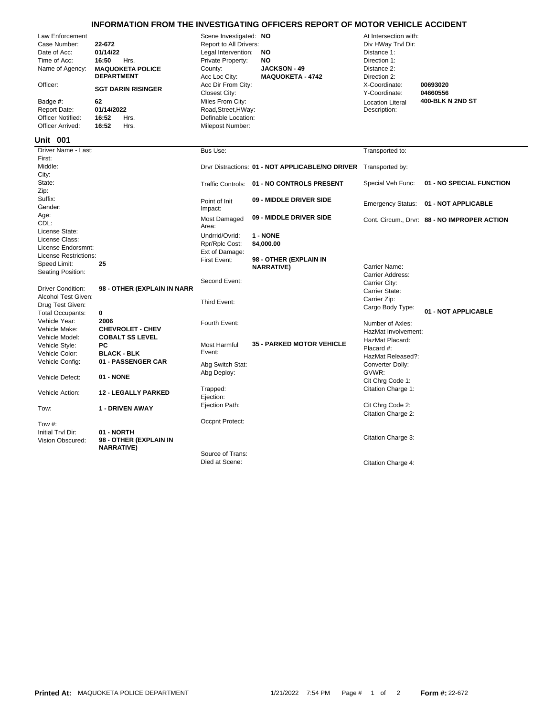## **INFORMATION FROM THE INVESTIGATING OFFICERS REPORT OF MOTOR VEHICLE ACCIDENT**

| Law Enforcement<br>Case Number:<br>Date of Acc:<br>Time of Acc:<br>Name of Agency:<br>Officer:<br>Badge #:<br><b>Report Date:</b><br>Officer Notified:<br>Officer Arrived: | 22-672<br>01/14/22<br>16:50<br>Hrs.<br><b>MAQUOKETA POLICE</b><br><b>DEPARTMENT</b><br><b>SGT DARIN RISINGER</b><br>62<br>01/14/2022<br>16:52<br>Hrs.<br>16:52<br>Hrs. | Scene Investigated: NO<br>Report to All Drivers:<br>Legal Intervention:<br>Private Property:<br>County:<br>Acc Loc City:<br>Acc Dir From City:<br>Closest City:<br>Miles From City:<br>Road, Street, HWay:<br>Definable Location:<br>Milepost Number: | <b>NO</b><br>NO<br><b>JACKSON - 49</b><br><b>MAQUOKETA - 4742</b> | At Intersection with:<br>Div HWay Trvl Dir:<br>Distance 1:<br>Direction 1:<br>Distance 2:<br>Direction 2:<br>X-Coordinate:<br>Y-Coordinate:<br><b>Location Literal</b><br>Description: | 00693020<br>04660556<br>400-BLK N 2ND ST     |
|----------------------------------------------------------------------------------------------------------------------------------------------------------------------------|------------------------------------------------------------------------------------------------------------------------------------------------------------------------|-------------------------------------------------------------------------------------------------------------------------------------------------------------------------------------------------------------------------------------------------------|-------------------------------------------------------------------|----------------------------------------------------------------------------------------------------------------------------------------------------------------------------------------|----------------------------------------------|
| Unit 001                                                                                                                                                                   |                                                                                                                                                                        |                                                                                                                                                                                                                                                       |                                                                   |                                                                                                                                                                                        |                                              |
| Driver Name - Last:                                                                                                                                                        |                                                                                                                                                                        | Bus Use:                                                                                                                                                                                                                                              |                                                                   | Transported to:                                                                                                                                                                        |                                              |
| First:<br>Middle:<br>City:                                                                                                                                                 |                                                                                                                                                                        |                                                                                                                                                                                                                                                       | Drvr Distractions: 01 - NOT APPLICABLE/NO DRIVER                  | Transported by:                                                                                                                                                                        |                                              |
| State:<br>Zip:                                                                                                                                                             |                                                                                                                                                                        | <b>Traffic Controls:</b>                                                                                                                                                                                                                              | 01 - NO CONTROLS PRESENT                                          | Special Veh Func:                                                                                                                                                                      | 01 - NO SPECIAL FUNCTION                     |
| Suffix:<br>Gender:                                                                                                                                                         |                                                                                                                                                                        | Point of Init<br>Impact:                                                                                                                                                                                                                              | 09 - MIDDLE DRIVER SIDE                                           | <b>Emergency Status:</b>                                                                                                                                                               | 01 - NOT APPLICABLE                          |
| Age:<br>CDL:<br>License State:                                                                                                                                             |                                                                                                                                                                        | Most Damaged<br>Area:                                                                                                                                                                                                                                 | 09 - MIDDLE DRIVER SIDE                                           |                                                                                                                                                                                        | Cont. Circum., Drvr: 88 - NO IMPROPER ACTION |
| License Class:<br>License Endorsmnt:<br>License Restrictions:                                                                                                              |                                                                                                                                                                        | Undrrid/Ovrid:<br>Rpr/Rplc Cost:<br>Ext of Damage:                                                                                                                                                                                                    | 1 - NONE<br>\$4,000.00                                            |                                                                                                                                                                                        |                                              |
| Speed Limit:<br>Seating Position:                                                                                                                                          | 25                                                                                                                                                                     | First Event:                                                                                                                                                                                                                                          | 98 - OTHER (EXPLAIN IN<br><b>NARRATIVE)</b>                       | Carrier Name:<br>Carrier Address:                                                                                                                                                      |                                              |
| <b>Driver Condition:</b><br>Alcohol Test Given:                                                                                                                            | 98 - OTHER (EXPLAIN IN NARR                                                                                                                                            | Second Event:                                                                                                                                                                                                                                         |                                                                   | Carrier City:<br>Carrier State:                                                                                                                                                        |                                              |
| Drug Test Given:<br><b>Total Occupants:</b>                                                                                                                                | 0                                                                                                                                                                      | Third Event:                                                                                                                                                                                                                                          |                                                                   | Carrier Zip:<br>Cargo Body Type:                                                                                                                                                       | 01 - NOT APPLICABLE                          |
| Vehicle Year:<br>Vehicle Make:                                                                                                                                             | 2006<br><b>CHEVROLET - CHEV</b>                                                                                                                                        | Fourth Event:                                                                                                                                                                                                                                         |                                                                   | Number of Axles:<br>HazMat Involvement:                                                                                                                                                |                                              |
| Vehicle Model:<br>Vehicle Style:<br>Vehicle Color:                                                                                                                         | <b>COBALT SS LEVEL</b><br>PC<br><b>BLACK - BLK</b>                                                                                                                     | Most Harmful<br>Event:                                                                                                                                                                                                                                | <b>35 - PARKED MOTOR VEHICLE</b>                                  | HazMat Placard:<br>Placard #:<br>HazMat Released?:                                                                                                                                     |                                              |
| Vehicle Config:<br>Vehicle Defect:                                                                                                                                         | 01 - PASSENGER CAR<br>01 - NONE                                                                                                                                        | Abg Switch Stat:<br>Abg Deploy:                                                                                                                                                                                                                       |                                                                   | Converter Dolly:<br>GVWR:                                                                                                                                                              |                                              |
| Vehicle Action:                                                                                                                                                            | <b>12 - LEGALLY PARKED</b>                                                                                                                                             | Trapped:<br>Ejection:                                                                                                                                                                                                                                 |                                                                   | Cit Chrg Code 1:<br>Citation Charge 1:                                                                                                                                                 |                                              |
| Tow:                                                                                                                                                                       | <b>1 - DRIVEN AWAY</b>                                                                                                                                                 | Ejection Path:                                                                                                                                                                                                                                        |                                                                   | Cit Chrg Code 2:<br>Citation Charge 2:                                                                                                                                                 |                                              |
| Tow #:                                                                                                                                                                     |                                                                                                                                                                        | Occpnt Protect:                                                                                                                                                                                                                                       |                                                                   |                                                                                                                                                                                        |                                              |
| Initial Trvl Dir:<br>Vision Obscured:                                                                                                                                      | 01 - NORTH<br>98 - OTHER (EXPLAIN IN<br><b>NARRATIVE)</b>                                                                                                              |                                                                                                                                                                                                                                                       |                                                                   | Citation Charge 3:                                                                                                                                                                     |                                              |
|                                                                                                                                                                            |                                                                                                                                                                        | Source of Trans:<br>Died at Scene:                                                                                                                                                                                                                    |                                                                   | Citation Charge 4:                                                                                                                                                                     |                                              |